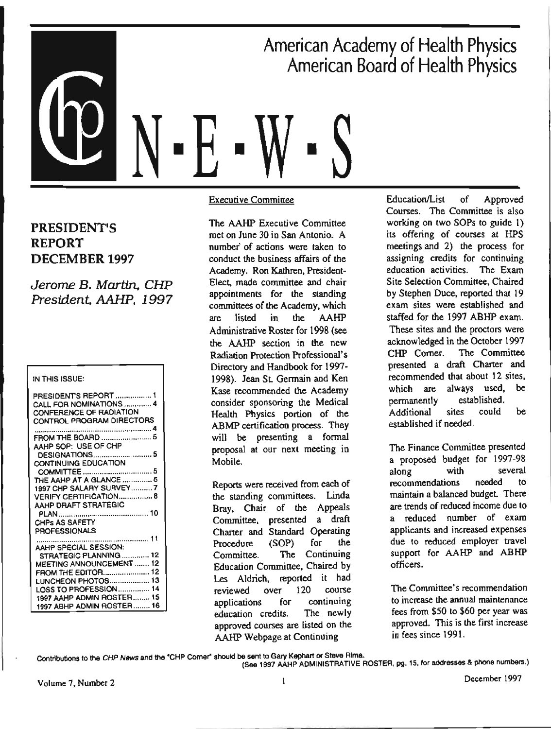# ■ American Academy of Health Physics American Board of Health Physics ■ ■

### PRESIDENT'S REPORT DECEMBER 1997

Jerome B. Martin. CHP President. AAHP, 1997

#### IN THIS ISSUE:

| PRESIDENTS REPORT  1<br>CALL FOR NOMINATIONS  4<br>CONFERENCE OF RADIATION<br>CONTROL PROGRAM DIRECTORS |
|---------------------------------------------------------------------------------------------------------|
|                                                                                                         |
| AAHP SOP: USE OF CHP                                                                                    |
| DESIGNATIONS 5                                                                                          |
| <b>CONTINUING EDUCATION</b>                                                                             |
|                                                                                                         |
| THE AAHP AT A GLANCE  6                                                                                 |
| 1997 CHP SALARY SURVEY7                                                                                 |
| <b>VERIFY CERTIFICATION 8</b><br>AAHP DRAFT STRATEGIC                                                   |
|                                                                                                         |
| CHPS AS SAFETY                                                                                          |
| PROFESSIONALS                                                                                           |
|                                                                                                         |
| AAHP SPECIAL SESSION:                                                                                   |
| STRATEGIC PLANNING  12                                                                                  |
| MEETING ANNOUNCEMENT  12                                                                                |
| FROM THE EDITOR 12                                                                                      |
| LUNCHEON PHOTOS 13                                                                                      |
| LOSS TO PROFESSION 14                                                                                   |
| 1997 AAHP ADMIN ROSTER 15                                                                               |
| 1997 ABHP ADMIN ROSTER 16                                                                               |

Executive Committee

The AAHP Executive Committee met on June 30 in San Antonio. A number· of actions were taken to conduct the business affairs of the Academy. Ron Kathren, President-Elect. made committee and chair appointments for the standing committees of the Academy, which are listed in the AAHP Administrative Roster for 1998 (see the AAHP section in the new Radiation Protection Professional's Directory and Handbook for 1997- 1998). Jean St. Germain and Ken Kase recommended the Academy consider sponsoring the Medical Health Physics portion of the ABMP certification process. They will be presenting a formal proposal at our next meeting in Mobile.

Reports were received from each of the standing committees. Linda Bray, Chair of the Appeals Committee, presented a draft Charter and Standard Operating Procedure (SOP) for the Committee. The Continuing Education Committee, Chaired by Les Aldrich, reported it had reviewed over 120 course applications for continuing education credits. The newly approved courses are listed on the AAHP Webpage at Continuing

Education/List of Approved Courses. The Committee is also working on two SOPs to guide I) its offering of courses at HPS meetings and 2) the process for assigning credits for continuing education activities. The Exam Site Selection Committee, Chaired by Stephen Duce, reported that 19 exam sites were established and staffed for the 1997 ABHP exam. These sites and the proctors were acknowledged in the October 1997 CHP Comer. The Committee presented a draft Charter and recommended that about 12 sites, which are always used, be permanently established. Additional sites could be established if needed.

The Finance Committee presented a proposed budget for 1997-98 along with several recommendations needed to maintain a balanced budget There are trends of reduced income due to a reduced number of exam applicants and increased expenses due to reduced employer travel support for AAHP and ABHP officers.

The Committee's recommendation to increase the annuaJ maintenance fees from \$50 to \$60 per year was approved. This is the first increase in fees since 1991.

Contributions to the CHP News and the <sup>\*</sup>CHP Comer\* should be sent to Gary Kephart or Steve Rima.<br>(See 1997 AAHP ADMINISTRATIVE ROSTER, pg. 15, lor addresses & phone numbers.)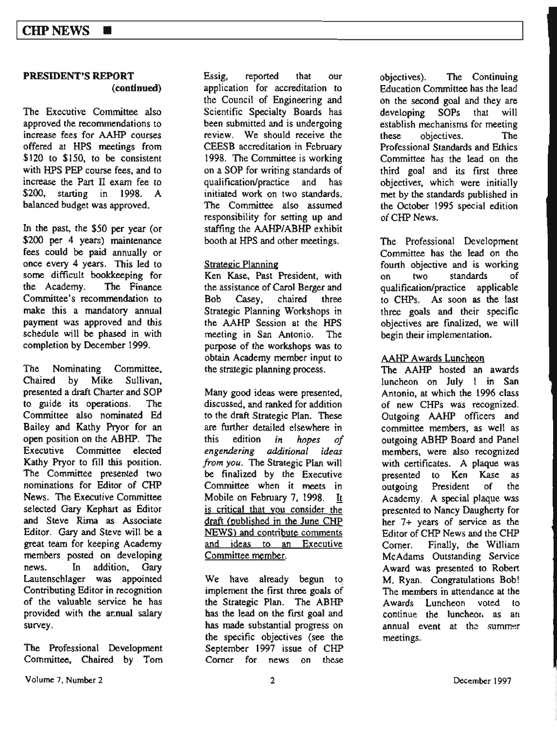#### **PRESIDENrs REPORT (continued}**

The Executive Committee also approved the recommendations to increase fees for AAHP courses offered at HPS meetings from \$120 to \$150, to be consistent with HPS PEP course fees, and to increase the Part Il exam fee *to*  \$200, starting in 1998. A balanced budget was approved.

In the past, the \$50 per year (or \$200 per 4 years) maintenance fees could be paid annually or once every 4 years. This led to some difficult bookkeeping for the Academy. The Finance Committee's recommendation to make this a mandatory annual payment was approved and this schedule will be phased in with completion by December 1999.

The Nominating Committee, Chaired by Mike Sullivan, presented a draft Charter and SOP to guide its operations. The Committee also nominated Ed Bailey and Kathy Pryor for an open position on the ABHP. The Executive Committee elected **Kathy** Pryor to fil) this position. The Committee presented two nominations for Editor of CHP News. The Executive Committee selected Gary Kephart as Editor and Steve Rima as Associate Editor. Gary and Steve will be <sup>a</sup> great team for keeping Academy members posted on developing news. In addition, Gary Lautenschlager was appointed Contributing Editor in recognition of the valuable service he has provided with the ar.nual salary survey.

The Professional Development Committee, Chaired by Tom Essig, reported that our application for accreditation to the Council of Engineering and Scientific Specialty Boards has been submitted and is undergoing review. We should receive the CEESB accreditation in February 1998. The Committee is working on a SOP for writing standards of quaJification/practice and has initiated work on two standards. The Committee also assumed responsibility for setting up and staffing the AAHP/ABHP exhibit booth at HPS and other meetings.

#### Strategic Planning

Ken Kase, Past President, with the assistance of Carol Berger and Bob Casey, chaired three Strategic Planning Workshops in the AAHP Session at the HPS meeting in San Antonio. The purpose of the workshops was *to*  obtain Academy member input to the strategic planning process.

Many good ideas were presented, discussed, and ranked for addition to the draft Strategic Plan. These are further detailed elsewhere in this edition *in hopes of engendering additional ideas from you.* The Strategic Plan will be finalized by the Executive Committee when it meets in Mobile on February 7, 1998. It is critical that you consider the draft (published in the June CHP NEWS) and contribute comments and ideas to an Executive Committee member.

We have already begun to implement the first three goals of the Strategic Plan. The ABHP bas the lead on the first goal and has made substantial progress on the specific objectives (see the September 1997 issue of CHP Comer for news on these

objectives). The Continuing Education Committee has the lead on the second goal and they are developing SOPs that will establish mechanisms for meeting these objectives. The Professional Standards and Ethics Committee has the lead on the third goaJ and its first three objectives, which were initially met by the standards published in the October 1995 special edition ofCHP **News.** 

The Professional Development Committee has the lead on the fourth objective and is working on two standards of qualification/practice applicable to CHPs. As soon as the last three goals and their specific objectives are finalized, we will begin their implementation.

#### AAHP Awards Luncheon

The AAHP hosted an awards luncheon on July I in San Antonio, at which the 1996 class of new CHPs was recognized. Outgoing AAHP officers and committee members, as well as outgoing ABHP Board and Panel members, were also recognized with certificates. A plaque was presented to Ken Kase as outgoing President of the Academy. A special plaque was presented to Nancy Daugherty for her 7+ years of service as the Editor of CHP News and the CHP Comer. Finally, the William McAdams Outstanding Service Award was presented to Robert M. Ryan. Congratulations Bob! The members in attendance at the Awards Luncheon voted to continue the luncheor, as an annual event at the summer meetings.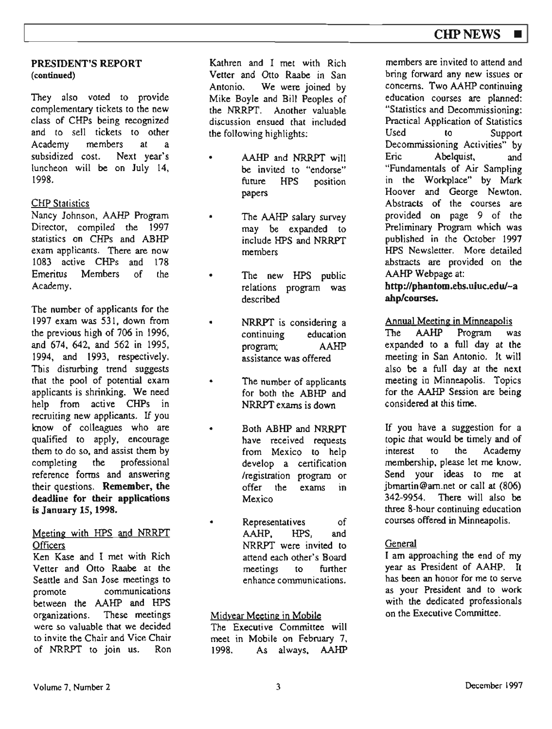#### **PRESIDENT'S REPORT (continued)**

They also voted to provide complementary tickets to the new class of CHPs being recognized and *to* sell tickets to other Academy members at a<br>subsidized cost. Next year's subsidized cost. luncheon will be on July 14, 1998.

### **CHP** Statistics

Nancy Johnson, AAHP Program Director, compiled the 1997 statistics on CHPs and ABHP exam applicants. There are now 1083 active CHPs and 178 Emeritus Members of the Academy.

The number of applicants for the l 997 exam was 531, down from the previous high of 706 in 1996, and 674, 642, and 562 in 1995, 1994, and 1993, respectively. This disturbing trend suggests that the pool of potential exam applicants is shrinking. We need help from active CHPs in recruiting new applicants. If you know of colleagues who are qualified to apply, encourage them to do so, and assist them by completing the professional reference forms and answering their questions. **Remember, the**  deadline for their applications **is January** IS, **1998.** 

#### Meeting with HPS and NRRPT **Officers**

Ken Kase and I met with Rich Vetter and Otto Raabe at the Seattle and San Jose meetings to promote communications between the AAHP and HPS organizations. These meetings were so valuable that we decided to invite the Chair and Vice Chair of NRRPT to join us. Ron

Kathren and I met with Rich Vetter and Otto Raabe in San Antonio. We were joined by Mike Boyle and Bill Peoples of the NRRPT. Another valuable discussion ensued that included the following highlights;

- AAHP and NRRPT will be invited to "endorse" future HPS position papers
- The AAHP salary survey may be expanded to include HPS and NRRPT members
- The new HPS public relations program was described
- NRRPT is considering <sup>a</sup> continuing education program; AAHP assistance was offered
- The number of applicants for both the ABHP and NRRPT exams is down
- Both ABHP and NRRPT have received requests from Mexico to help develop a certification /registration program or offer the exams in Mexico
- Representatives of AAHP, HPS, and NRRPT were invited to attend each other's Board meetings to further enhance communications.

### Midyear Meeting in Mobile

The Executive Committee will meet in Mobile on February 7, 1998. As always, AAHP

members are invited to attend and bring forward any new issues or concerns. Two AAHP continuing education courses are planned: "Statistics and Decommissioning: Practical Application of Statistics to Support Decommissioning Activities" by Eric Abelquist, and "Fundamentals of Air Sampling in the Workplace" by Mark Hoover and George Newton. Abstracts of the courses are provided on page 9 of the Preliminary Program which was published in the October 1997 HPS Newsletter. More detailed abstracts are provided on the AAHP Webpage at:

#### **http://pbantom.ebs.uiuc.edu/-a ahp/courses.**

### Annual Meeting in Minneapolis

The AAHP Program was expanded to a full day at the meeting-in San Antonio. It will also be a full day at the next meeting in Minneapolis. Topics for the AAHP Session are **being**  considered at this time.

If you have a suggestion for a topic that would be timely and of<br>interest to the Academy interest to the Academy membership, please let me know. Send your ideas to me at jbmartin@am.net or call at (806) 342-9954. There will also be three 8-hour continuing education courses offered in Minneapolis.

### General

I am approaching the end of my year as President of AAHP. It has been an honor for me to serve as your President and *to* work with the dedicated professionals on the Executive Committee.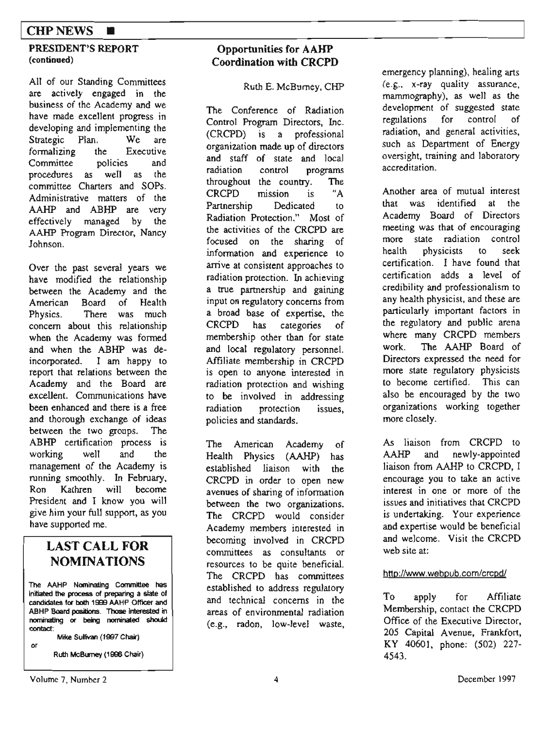### **CHPNEWS** ■

#### **PRESIDENT<sup>1</sup> S REPORT (continued)**

All of our Standing Committees are actively engaged in the business of the Academy and we have made excellent progress in developing and implementing the Strategic Plan. We are formalizing the Executive Committee policies and procedures as well as the committee Charters and SOPs. Administrative matters of the AAHP and ABHP are very effectively managed by the AAHP Program Director, Nancy Johnson.

Over the past several years we have modified the relationship between the Academy and the American Board of Health Physics. There was much concern about this relationship when the Academy was formed and when the ABHP was deincorporated. I am happy to report that relations between the Academy and the Board are excellent. Communications have been enhanced and there is a free and thorough exchange of ideas between the two groups. The ABHP certification process is working well and the management of the Academy is running smoothly. In February, Ron Kathren will become President and I know you will give him your full support, as you have supported me.

### **LAST CALL FOR NOMINATIONS**

**The AAHP Nominating Committee has**  initiated **the process ot preparing a slate of candidates 101 both 1!:Hl AAHP Officer and**  ABHP Board **positions. Those** lntetested in **nominating Of being nominated should contad:** 

**or** 

**Mike Sullivan (1007 Chu)** 

**Ruth McBumey (1998 Chair)** 

### **Opportunities for AAHP Coordination with CRCPD**

Ruth E. McBumey, CHP

The Conference of Radiation Control Program Directors, Inc. (CRCPD) is a professional organization made up of directors and staff of state and local radiation control programs throughout the country. The CRCPD mission is "A Partnership Dedicated to Radiation Protection." Most of the activities of the CRCPD are focused on the sharing of information and experience to arrive at consistent approaches to radiation protection. In achieving a true partnership and gaining input on regulatory concerns from a broad base of expertise, the CRCPD has categories of membership other than for state and local regulatory personnel. Affiliate membership in CRCPD is open to anyone interested in radiation protection and wishing to be involved in addressing radiation protection issues, policies and standards.

The American Academy of Health Physics (AAHP) has established liaison with the CRCPD in order to open new avenues of sharing of information between the two organizations. The CRCPD would consider Academy members interested in becoming involved in CRCPD committees as consultants or resources to be quite beneficial. The CRCPD has committees established to address regulatory and technical concerns in the areas of environmental radiation (e.g., radon, low-level waste, emergency planning), healing arts (e .g.. x-ray quality assurance , mammography), as well as the development of suggested state<br>regulations for control of regulations radiation, and general activities, such as Department of Energy oversight, training and laboratory accreditation.

**Another** area of mutual interest that was identified at the Academy Board of Directors meeting was that of encouraging more state radiation control health physicists to seek certification. I have found that certification adds a level of credibility and professionalism to any health physicist, and these are particularly important factors in the regulatory and public arena where many CRCPD members work. The AAHP Board of Directors expressed the need for more state regulatory physicists to become certified. This can also be encouraged by the two organizations working together more closely.

As liaison from CRCPD to AAHP and newly-appointed liaison from AAHP to CRCPD, I encourage you to take an active interest in one or more of the issues and initiatives that CRCPD is undertaking. Your experience and expertise would be beneficial and welcome. Visit the CRCPD web site at:

#### http://www.webpub.com/crcpd/

To apply for Affiliate Membership, contact the CRCPD Office of the Executive Director, 205 Capital Avenue, Frankfort, KY 40601, phone: (502) 227- 4543.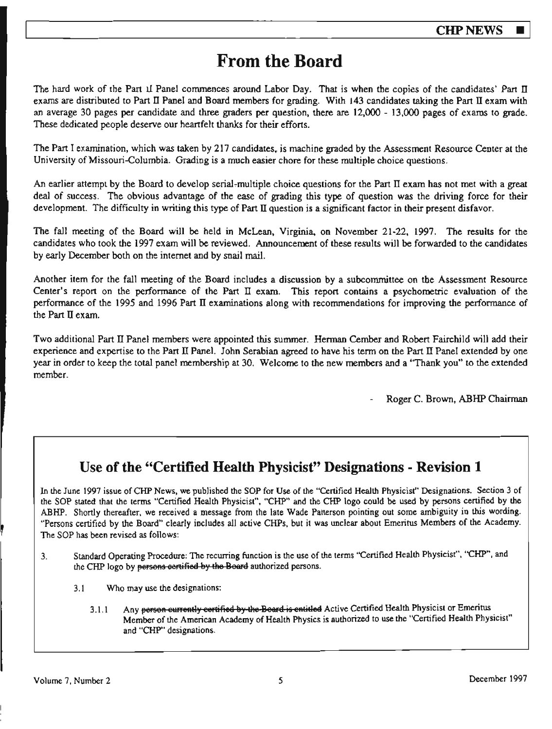# **From the Board**

The hard work of the Part 11 Panel commences around Labor Day. That is when the copies of the candidates' *Part* II exams are distributed to Part II Panel and Board members for grading. With 143 candidates taking the Part II exam with an average 30 pages per candidate and three graders per question, there are 12,000 - 13,000 pages of exams to grade. These dedicated people deserve our heartfelt thanks for their efforts.

The Part I examination, which was taken by 217 candidates, is machine graded by the Assessment Resource Center at the University of Missouri-Columbia. Grading is a much easier chore for these multiple choice questions.

An earlier attempt by the Board to develop serial-multiple choice questions for the Part II exam has not met with a great deal of success. The obvious advantage of the ease of grading this type of question was the driving force for their development. The difficulty in writing this type of Part II question is a significant factor in their present disfavor.

The fall meeting of the Board will be held in McLean, Virginia. on November 21-22, 1997. The results for the candidates who took the 1997 exam will be reviewed. Announcement of these results will be forwarded to the candidates by early December both on the internet and by snail mail.

Another item for the fall meeting of the Board includes a discussion by a subcommittee on the Assessment Resource Center's report on the performance of the Part II exam. This report contains a psychometric evaluation of the performance of the 1995 and 1996 Part II examinations along with recommendations for improving the performance of the Part II exam.

Two additional Part II Panel members were appointed this summer. Herman Cember and Robert Fairchild will add their experience and expertise to the Part II Panel. John Serabian agreed to have his term on the Part II Panel extended by one year in order to keep the total panel membership at 30. Welcome to the new members and a ''Thank you" to the extended member.

Roger C. Brown, ABHP Chairman

# **Use of the "Certified Health Physicist" Designations - Revision 1**

In the June 1997 issue of CHP News, we published the SOP for Use of the "Certified Health Physicist'' Designations. Section 3 of the SOP stated that the terms "Certified Health Physicist", "CHP" and the CHP logo could be used by persons cenified by the ABHP. Shortly thereafter, we received a message from the late Wade Patterson pointing out some ambiguity in this wording. "Persons certified by the Board" clearly includes all active CHPs, but it was unclear about Emeritus Members of the Academy. The SOP has been revised as follows:

- 3. Standard Operating Procedure: The recurring function is the use of the terms "Certified Health Physicist", "CHP", and the CHP logo by persons certified by the Board authorized persons.
	- 3.1 Who may use the designations:
		- 3.1.1 Any person eurrently certified by the Beard is entitled Active Certified Health Physicist or Emeritus Member of the American Academy of Health Physics is authorized to use the "Certified Health Physicist" and "CHP" designations.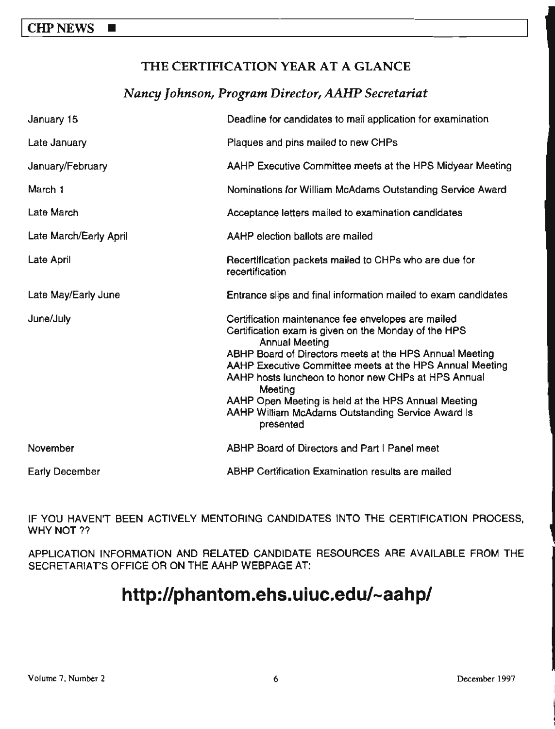## THE CERTIFICATION YEAR AT A GLANCE

### *Nancy Johnson, Program Director,AAHP Secretariat*

| January 15             | Deadline for candidates to mail application for examination                                                                                                                                                                                                                                                                                                                                                                                           |
|------------------------|-------------------------------------------------------------------------------------------------------------------------------------------------------------------------------------------------------------------------------------------------------------------------------------------------------------------------------------------------------------------------------------------------------------------------------------------------------|
| Late January           | Plaques and pins mailed to new CHPs                                                                                                                                                                                                                                                                                                                                                                                                                   |
| January/February       | AAHP Executive Committee meets at the HPS Midyear Meeting                                                                                                                                                                                                                                                                                                                                                                                             |
| March 1                | Nominations for William McAdams Outstanding Service Award                                                                                                                                                                                                                                                                                                                                                                                             |
| Late March             | Acceptance letters mailed to examination candidates                                                                                                                                                                                                                                                                                                                                                                                                   |
| Late March/Early April | AAHP election ballots are mailed                                                                                                                                                                                                                                                                                                                                                                                                                      |
| Late April             | Recertification packets mailed to CHPs who are due for<br>recertification                                                                                                                                                                                                                                                                                                                                                                             |
| Late May/Early June    | Entrance slips and final information mailed to exam candidates                                                                                                                                                                                                                                                                                                                                                                                        |
| June/July              | Certification maintenance fee envelopes are mailed<br>Certification exam is given on the Monday of the HPS<br><b>Annual Meeting</b><br>ABHP Board of Directors meets at the HPS Annual Meeting<br>AAHP Executive Committee meets at the HPS Annual Meeting<br>AAHP hosts luncheon to honor new CHPs at HPS Annual<br>Meeting<br>AAHP Open Meeting is held at the HPS Annual Meeting<br>AAHP William McAdams Outstanding Service Award is<br>presented |
| November               | <b>ABHP Board of Directors and Part I Panel meet</b>                                                                                                                                                                                                                                                                                                                                                                                                  |
| <b>Early December</b>  | <b>ABHP Certification Examination results are mailed</b>                                                                                                                                                                                                                                                                                                                                                                                              |

IF YOU HAVEN'T BEEN ACTIVELY MENTORING CANDIDATES INTO THE CERTIFICATION PROCESS, WHY NOT ??

APPLICATION INFORMATION AND RELATED CANDIDATE RESOURCES ARE AVAILABLE FROM THE SECRETARIAT'S OFFICE OR ON THE AAHP WEBPAGE AT:

# **http://phantom.ehs.uiuc.edu/-aahp/**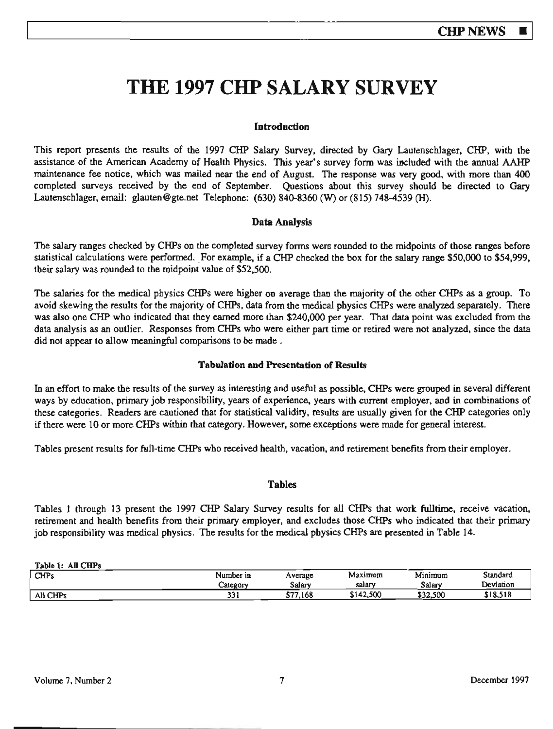# **THE 1997 CHP SALARY SURVEY**

#### **Introduction**

This report presents the results of the 1997 CHP Salary Survey, directed by Gary Lautenschlager, CHP, with the assistance of the American Academy of Health Physics. This year's survey form was included with the annual AAHP maintenance fee notice, which was mailed near the end of August. The response was very good, with more than 400 completed surveys received by the end of September. Questions about this survey should be directed to Gary Lautenschlager, email: glauten@gte.net Telephone: (630) 840-8360 (W) or (815) 748-4539 (H).

#### **Data Analysis**

The salary ranges checked by CHPs on the completed survey fonns were rounded to the midpoints of those ranges before statistical calculations were performed. For example, if a CHP checked the box for the salary range \$50,000 to \$54,999, their salary was rounded to the midpoint value of \$52,500.

The salaries for the medical physics CHPs were higher on average than the majority of the other CHPs as a group. To avoid skewing the results for the majority of CHPs, data from the medical physics CHPs were analyzed separately. There was also one CHP who indicated that they earned more than \$240,000 per year. That data point was excluded from the data analysis as an outlier. Responses from CHPs who were either part time or retired were not analyzed, since the data did not appear to allow meaningful comparisons to be made .

#### **Tabulation and Presentation of Results**

In an effort to make the results of the survey as interesting and useful as possible, CHPs were grouped in several different ways by education, primary job responsibility, years of experience, years with current employer. and in combinations of these categories. Readers are cautioned that for statistical validity, results are usually given for the CHP categories only if there were 10 or more CHPs within that category. However, some exceptions were made for general interest.

Tables present results for ful1-time CHPs who received health, vacation, and retirement benefits from their employer.

#### **Tables**

Tables 1 through 13 present the 1997 CHP Salary Survey results for all CHPs that work fulltime, receive vacation, retirement and health benefits from their primary employer, and excludes those CHPs who indicated that their primary job responsibility was medical physics. The results for the medical physics CHPs are presented in Table 14.

| Table 1: All CHPs |           |          |           |          |           |
|-------------------|-----------|----------|-----------|----------|-----------|
| <b>CHPs</b>       | Number in | Average  | Maximum   | Minimum  | Standard  |
|                   | Category  | Salarv   | salary    | Salary   | Devlation |
| All CHPs          | っっ<br>يرد | \$77.168 | \$142,500 | \$32,500 | \$18,518  |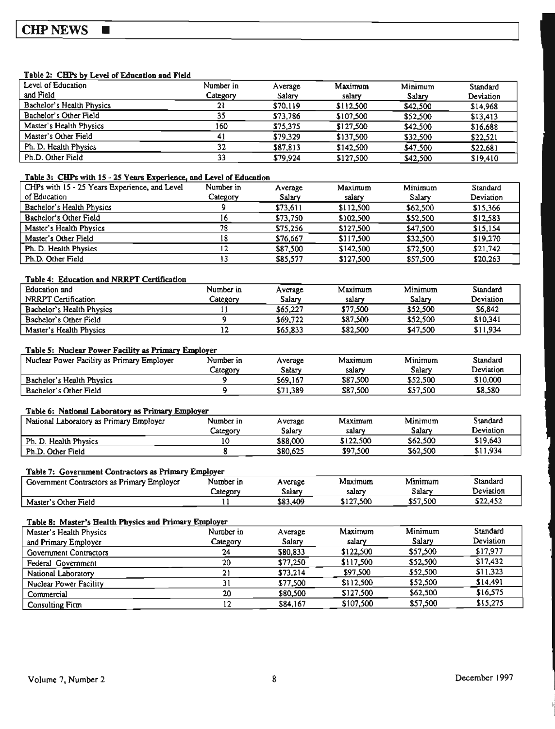### CHP NEWS ■

#### Table 2: CHPs by Level of Education and Field

| Level of Education        | Number in | Average  | Maximum   | Minimum  | Standard  |
|---------------------------|-----------|----------|-----------|----------|-----------|
| and Field                 | Category  | Salarv   | salary    | Salary   | Deviation |
| Bachelor's Health Physics | 21        | \$70,119 | \$112,500 | \$42,500 | \$14.968  |
| Bachelor's Other Field    | 35        | \$73,786 | \$107,500 | \$52,500 | \$13,413  |
| Master's Health Physics   | 160       | \$75,375 | \$127,500 | \$42,500 | \$16,688  |
| Master's Other Field      | 41        | \$79.329 | \$137.500 | \$32,500 | \$22,521  |
| Ph. D. Health Physics     | 32        | \$87,813 | \$142,500 | \$47,500 | \$22,681  |
| Ph.D. Other Field         | 33        | \$79.924 | \$127,500 | \$42,500 | \$19,410  |
|                           |           |          |           |          |           |

#### **Table 3: CHPs with 15 - 25 Years Experience, and Level of Education**

| CHPs with 15 - 25 Years Experience, and Level | Number in | Average  | Maximum   | Minimum  | Standard  |
|-----------------------------------------------|-----------|----------|-----------|----------|-----------|
| of Education                                  | Category  | Salary   | salary    | Salary   | Deviation |
| Bachelor's Health Physics                     |           | \$73,611 | \$112,500 | \$62,500 | \$15,366  |
| Bachelor's Other Field                        | 16        | \$73,750 | \$102,500 | \$52,500 | \$12.583  |
| Master's Health Physics                       | 78        | \$75,256 | \$127.500 | \$47,500 | \$15,154  |
| Master's Other Field                          | 18        | \$76.667 | \$117.500 | \$32,500 | \$19.270  |
| Ph. D. Health Physics                         | 12        | \$87,500 | \$142,500 | \$72,500 | \$21,742  |
| Ph.D. Other Field                             |           | \$85,577 | \$127,500 | \$57,500 | \$20,263  |

#### **Table** 4: Education **and NR.RPT** Certlficatlon

| Education and             | Number in | Average  | Maximum  | Minimum  | Standard  |
|---------------------------|-----------|----------|----------|----------|-----------|
| NRRPT Certification       | Category  | Salarv   | salarv   | Salarv   | Deviation |
| Bachelor's Health Physics |           | \$65,227 | \$77,500 | \$52,500 | \$6,842   |
| Bachelor's Other Field    |           | \$69,722 | \$87.500 | \$52,500 | \$10.341  |
| Master's Health Physics   |           | \$65,833 | \$82.500 | \$47,500 | \$11,934  |

#### Table 5: Nuclear Power Facility as Primary Employer

| Nuclear Power Facility as Primary Employer | Number in | Average  | Maximum  | Minimum  | Standard  |
|--------------------------------------------|-----------|----------|----------|----------|-----------|
|                                            | Category  | Salarv   | salarv   | Salarv   | Deviation |
| Bachelor's Health Physics                  |           | \$69.167 | \$87.500 | \$52,500 | \$10,000  |
| Bachelor's Other Field                     |           | \$71.389 | \$87,500 | \$57.500 | \$8,580   |

#### Table 6: National Laboratory as Primary Employer

| National Laboratory as Primary Employer | Number in | Average  | Maximum   | Minimum  | Standard  |
|-----------------------------------------|-----------|----------|-----------|----------|-----------|
|                                         | Category  | Salarv   | salary    | Salarv   | Deviation |
| Ph. D. Health Physics                   |           | \$88.000 | \$122,500 | \$62,500 | \$19,643  |
| Ph.D. Other Field                       |           | \$80,625 | \$97,500  | \$62,500 | \$11.934  |

#### Table 7: Government Contractors as Primary Employer

| Government Contractors as Primary Employer | Number in | A verage | Maximum   | Minimum  | Standard  |
|--------------------------------------------|-----------|----------|-----------|----------|-----------|
|                                            | Lategory  | Salarv   | salary    | Salarv   | Deviation |
| Master's Other Field                       |           | \$83,409 | \$127,500 | \$57,500 | \$22.452  |

#### Table 8: Master's Health Physics and Primary Employer

| Master's Health Physics | Number in | Average  | Maximum   | Minimum  | Standard  |
|-------------------------|-----------|----------|-----------|----------|-----------|
| and Primary Employer    | Category  | Salary   | salary    | Salary   | Deviation |
| Government Contractors  | 24        | \$80,833 | \$122,500 | \$57,500 | \$17,977  |
| Federal Government      | 20        | \$77.250 | \$117,500 | \$52,500 | \$17,432  |
| National Laboratory     | 21        | \$73.214 | \$97,500  | \$52,500 | \$11,323  |
| Nuclear Power Facility  | 31        | \$77,500 | \$112,500 | \$52,500 | \$14,491  |
| Commercial              | 20        | \$80,500 | \$127,500 | \$62,500 | \$16,575  |
| Consulting Firm         | 12        | \$84,167 | \$107,500 | \$57,500 | \$15,275  |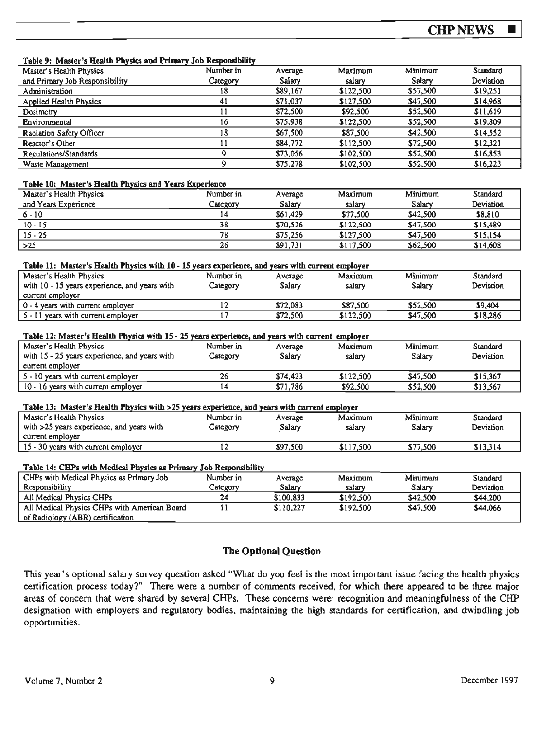Table 9: Master's Health Pbvsics **and Primarv** Job **R-nslbllltv** 

| гарс эт маяст з псана глузся ала гипагу дор коронярану                                           | Number in       |                   | Maximum   | Minimum  | Standard  |
|--------------------------------------------------------------------------------------------------|-----------------|-------------------|-----------|----------|-----------|
| Master's Health Physics<br>and Primary Job Responsibility                                        | Category        | Average<br>Salary | salary    | Salary   | Deviation |
|                                                                                                  | 18              | \$89,167          | \$122,500 | \$57,500 | \$19,251  |
| Administration                                                                                   |                 |                   |           |          |           |
| <b>Applied Health Physics</b>                                                                    | 41              | \$71,037          | \$127,500 | \$47,500 | \$14,968  |
| <b>Dosimetry</b>                                                                                 | $\overline{11}$ | \$72,500          | \$92,500  | \$52,500 | \$11,619  |
| Environmental                                                                                    | $\overline{16}$ | \$75,938          | \$122,500 | \$52,500 | \$19,809  |
| Radiation Safery Officer                                                                         | 18              | \$67,500          | \$87,500  | \$42,500 | \$14,552  |
| Reactor's Other                                                                                  | $\overline{11}$ | \$84,772          | \$112,500 | \$72,500 | \$12,321  |
| Regulations/Standards                                                                            | 9               | \$73,056          | \$102,500 | \$52,500 | \$16,853  |
| Waste Management                                                                                 | $\overline{9}$  | \$75,278          | \$102,500 | \$52,500 | \$16,223  |
| Table 10: Master's Health Physics and Years Experience                                           |                 |                   |           |          |           |
| Master's Health Physics                                                                          | Number in       | Average           | Maximum   | Minimum  | Standard  |
| and Years Experience                                                                             | Category        | Salary            | salary    | Salary   | Deviation |
| $6 - 10$                                                                                         | 14              | \$61,429          | \$77,500  | \$42,500 | \$8,810   |
| $10 - 15$                                                                                        | 38              | \$70,526          | \$122,500 | \$47,500 | \$15,489  |
| $15 - 25$                                                                                        | 78              | \$75,256          | \$127,500 | \$47,500 | \$15,154  |
| $>25$                                                                                            | 26              | \$91,731          | \$117,500 | \$62,500 | \$14,608  |
|                                                                                                  |                 |                   |           |          |           |
| Table 11: Master's Health Physics with 10 - 15 years experience, and years with current employer |                 |                   |           |          |           |
| Master's Health Physics                                                                          | Number in       | Average           | Maximum   | Minimum  | Standard  |
| with 10 - 15 years experience, and years with                                                    | Category        | Salary            | salary    | Salary   | Deviation |
| current employer                                                                                 |                 |                   |           |          |           |
| 0 - 4 years with current employer                                                                | 12              | \$72,083          | \$87,500  | \$52,500 | \$9,404   |
| 5 - 11 years with current employer                                                               | $\overline{17}$ | \$72,500          | \$122,500 | \$47,500 | \$18,286  |
|                                                                                                  |                 |                   |           |          |           |
| Table 12: Master's Health Physics with 15 - 25 years experience, and years with current employer |                 |                   |           |          |           |
| Master's Health Physics                                                                          | Number in       | Average           | Maximum   | Minimum  | Standard  |
| with 15 - 25 years experience, and years with                                                    | Category        | Salary            | salary    | Salary   | Deviation |
| current employer                                                                                 |                 |                   |           |          |           |
| 5 - 10 years with current employer                                                               | 26              | \$74,423          | \$122,500 | \$47,500 | \$15,367  |
| 10 - 16 years with current employer                                                              | $\overline{14}$ | \$71,786          | \$92,500  | \$52,500 | \$13,567  |
|                                                                                                  |                 |                   |           |          |           |
| Table 13: Master's Health Physics with >25 years experience, and years with current employer     |                 |                   |           |          |           |
| Master's Health Physics                                                                          | Number in       | Average           | Maximum   | Minimum  | Standard  |
| with >25 years experience, and years with                                                        | Category        | Salary            | salary    | Salary   | Deviation |
| current employer                                                                                 |                 |                   |           |          |           |
| 15 - 30 years with current employer                                                              | $\overline{12}$ | \$97,500          | \$117,500 | \$77,500 | \$13,314  |
|                                                                                                  |                 |                   |           |          |           |
|                                                                                                  |                 |                   |           |          |           |
| Table 14: CHPs with Medical Physics as Primary Job Responsibility                                |                 |                   |           |          |           |
| CHPs with Medical Physics as Primary Job                                                         | Number in       | Average           | Maximum   | Minimum  | Standard  |
| Responsibility                                                                                   | Category        | Salary            | salary    | Salary   | Deviation |
| All Medical Physics CHPs                                                                         | 24              | \$100,833         | \$192,500 | \$42,500 | \$44,200  |
| All Medical Physics CHPs with American Board                                                     | 11              | \$110,227         | \$192,500 | \$47,500 | \$44,066  |
| of Radiology (ABR) certification                                                                 |                 |                   |           |          |           |

#### **The Optional Question**

This year's optional salary survey question asked "What do you feel is the most important issue facing the health physics certification process today?" There were a number of comments received, for which there appeared to be three major areas of concern that were shared by several CHPs. These concerns were: recognition and meaningfulness of the CHP designation with employers and regulatory bodies, maintaining the high standards for certification, and dwindling job opportunities.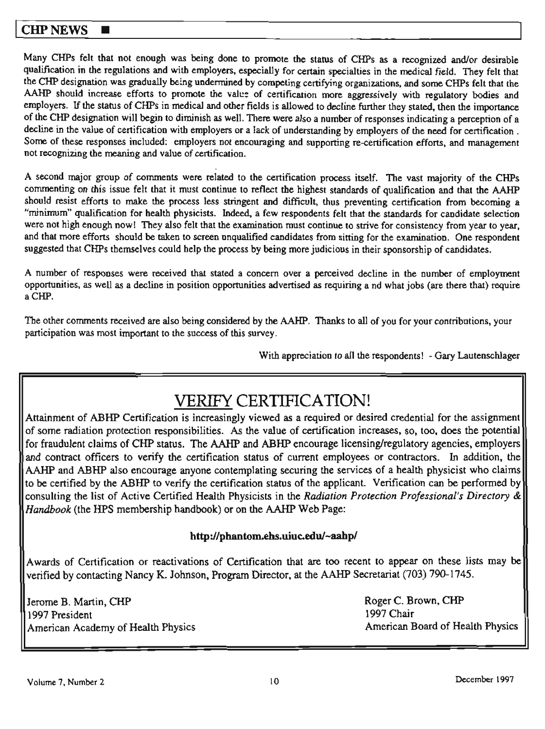### **CHP NEWS**

Many CHPs felt that not enough was being done to promote the status of CHPs as a recognized and/or desirable qualification in the regulations and with employers, especially for certain specialties in the medical field. They felt that the CHP designation was gradually being undennined by competing certifying organizations, and some CHPs felt that the AAHP should increase efforts to promote the value of certification more aggressively with regulatory bodies and employers. If the status of CHPs in medical and other fields is allowed to decline further they stated, then the importance of the CHP designation will begin to diminish as well. There were also a number of responses indicating a perception of <sup>a</sup> decline in the value of certification with employers or a lack of understanding by employers of the need for certification . Some of these responses included: employers not encouraging and supporting re-certification efforts, and management not recognizing the meaning and value of certification.

<sup>A</sup>second major group of comments were related to the certification process itself. The vast majority of the CHPs commenting on this issue felt that it must continue to reflect the highest standards of qualification and that the AAHP should resist efforts to make the process less stringent and difficult, thus preventing certification from becoming <sup>a</sup> "minimum" qualification for health physicists. Indeed, a few respondents felt that the standards for candidate selection were not high enough now! They also felt that the examination must continue to strive for consistency from year to year, and that more efforts should be taken to screen unqualified candidates from sitting for the examination. One respondent suggested that CHPs themselves could help the process by being more judicious in their sponsorship of candidates.

<sup>A</sup>number of responses were received that stated a concern over a perceived decline in the number of employment opportunities, as well as a decline in position opportunities advertised as requiring a nd what jobs (are there that) require aCHP.

The other comments received are aJso being considered by the AAHP. Thanks to all of you for your contribations, your participation was most important to the success of this survey.

With appreciation to all the respondents! - Gary Lautenschlager

# VERIFY CERTIFICATION!

Attainment of ABHP Certification is increasingly viewed as a required or desired credential for the assignment of some radiation protection responsibilities. *As* the value of certification increases, so, too, does the potential for fraudulent claims of CHP status. The AAHP and ABHP encourage licensing/regulatory agencies, employers and contract officers to verify the certification status of current employees or contractors. In addition, the AAHP and ABHP also encourage anyone contemplating securing the services of a health physicist who claims to be certified by the ABHP to verify the certification status of the applicant. Verification can be performed by consulting the list of Active Certified Health Physicists in the *Radiation Protection Professional's Directory & Handbook* (the HPS membership handbook) or on the AAHP Web Page:

### http ://phantom.ehs.uiuc.edu/~aahp/

Awards of Certification or reactivations of Certification that are too recent to appear on these lists may be verified by contacting Nancy K. Johnson, Program Director, at the AAHP Secretariat (703) 790-1745.

Jerome B. Martin, CHP 1997 President American Academy of Health Physics Roger C. Brown, CHP 1997 Chair American Board of Health Physics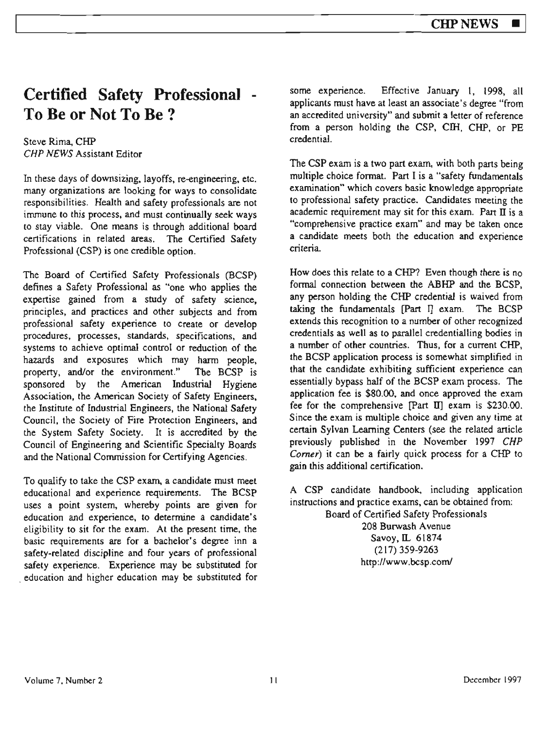# **Certified Safety Professional To Be or Not To Be?**

#### Steve Rima, CHP CHP NEWS Assistant Editor

In these days of downsizing, layoffs, re-engineering, etc. many organizations are looking for ways to consolidate responsibilities. Health and safety professionals are not immune to this process, and must continually seek ways to stay viable. One means is through additional board certifications in related areas. The Certified Safety Professional (CSP) is one credible option.

The Board of Certified Safety Professionals (BCSP) defines a Safety Professional as "one who applies the expertise gained from a study of safety science, principles, and practices and other subjects and from professional safety experience to create or develop procedures, processes, standards, specifications, and systems to achieve optimal control or reduction of the hazards and exposures which may harm people, property, and/or the environment." The BCSP is sponsored by the American Industrial Hygiene Association, the American Society of Safety Engineers, the Institute of Industrial Engineers, the National Safety Council, the Society of Fire Protection Engineers, and the System Safety Society. It is accredited by the Council of Engineering and Scientific Specialty Boards and the National Commission for Certifying Agencies.

To qualify to take the CSP exam, a candidate must meet educational and experience requirements. The BCSP uses a point system, whereby points are given for education and experience, to determine a candidate's eligibility to sit for the exam. At the present time, the basic requirements are for a bachelor's degree inn a safety~related discipline and four years of professional safety experience. Experience may be substituted for . education and higher education may be substituted for

some experience. Effective January 1, 1998, all applicants must have at least an associate's degree "from an accredited university" and submit a letter of reference from a person holding the CSP, CIH, CHP, or PE credential.

The CSP exam is a two part exam, with both parts being multiple choice fonnat. Part I is a "safety fundamentals examination" which covers basic knowledge appropriate to professional safety practice. Candidates meeting the academic requirement may sit for this exam. Part  $\overline{II}$  is a "comprehensive practice exam" and may be taken once a candidate meets both the education and experience criteria.

How does this relate to a CHP? Even though there is no formal connection between the ABHP and the BCSP, any person holding the CHP credential is waived from taking the fundamentals (Part I] exam. The BCSP extends this recognition to a number of other recognized credentials as well as to parallel credentialling bodies in a number of other countries. Thus, for a current CHP, the BCSP application process is somewhat simplified in that the candidate exhibiting sufficient experience can essentially bypass half of the BCSP exam process. The application fee is \$80.00, and once approved the exam fee for the comprehensive [Part II] exam is \$230.00. Since the exam is multiple choice and given any time at certain Sylvan Learning Centers (see the related article previously published in the November 1997 CHP Comer) it can be a fairly quick process for a CHP to gain this additional certification.

A CSP candidate handbook. including application instructions and practice exams, can be obtained from:

Board of Certified Safety Professionals 208 Burwash A venue Savoy,IL 61874 (217) 359-9263 http://www.bcsp.com/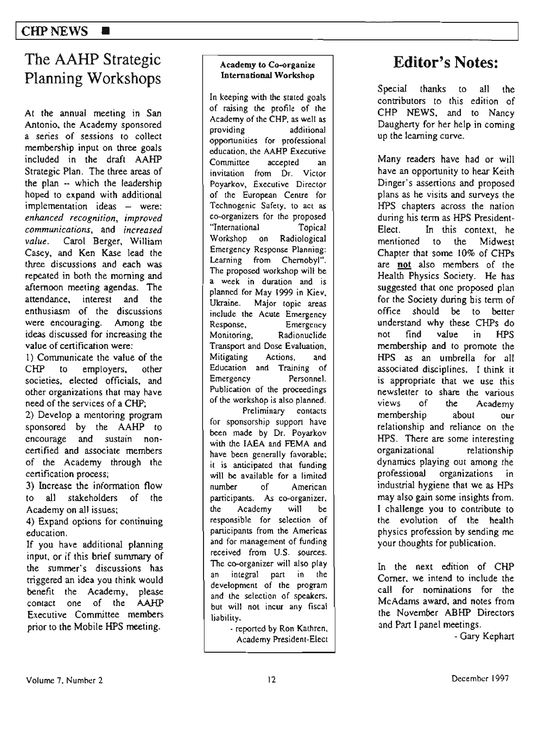# The AAHP Strategic Planning Workshops

At the annual meeting in San Antonio. the Academy sponsored a series of sessions to collect membership input on three goaJs included in the draft AAHP Strategic Plan. The three areas of the plan -· which the leadership hoped to expand with additional implementation ideas - were: *enhanced recognition, improved communications,* and *increased value.* Carol Berger, William Casey. and Ken Kase lead the three discussions and each was repealed in both the morning and afternoon meeling agendas. The attendance. interest and the enthusiasm of the discussions were encouraging. Among the ideas discussed for increasing the value of certification were:

I) Communicate the value of the CHP to employers, other societies, elected officials, and other organizations that may have need of the services of a CHP;

2) Develop a mentoring program sponsored by the AAHP to encourage and sustain noncertified and associate members of the Academy through the certification process;

3) Increase the information flow to all stakeholders of the Academy on all issues:

4) Expand options for continuing education.

If you have additional planning input, or if this brief summary of the summer's discussions has triggered an idea you think would benefit the Academy, please contact one of the AAHP Executive Committee members prior to the Mobile HPS meeting.

#### Academy **to Co-organize International Workshop**

In keeping with the stated goals of raising the profile of the Academy of the CHP, as well as providing additional opportunities for professional education, lhe AAHP Executive Committee accepted an invitation from Dr. Victor Poyarkov, Executive Director of the European Centre for Technogenic Safety, to act as co-organizers for the proposed '1nternational Topical Workshop on Radiological Emergency Response Planning: Leaming from Chernobyl". The proposed workshop will be a week in duration and is planned for May 1999 in Kiev.<br>Ukraine. Maior topic areas Major topic areas include the Acute Emergency Response, Emergency Monitoring, Radionuclide Transport and *Dose* Evaluation. Mitigating Actions, and Education and Training of Emergency Personnel. Publication of the proceedings of the workshop is also planned. Preliminary contacts for sponsorship suppon have been made by Dr. Poyarkov with the IAEA and FEMA and have been generally favorable; it is anticipated that funding will be available for a limited number of American participants. *As* co-organizer, the Academy will be responsible for selection of participants from the Americas and for management of funding received from U.S. sources. The co-organizer will also play an integral part in the development of the program

liability. - reported by Ron Kalhren, Academy President-Elect

and the selection of speakers, but will not incur any fiscal

# **Editor's Notes:**

Special thanks to all the contributors to this edition of CHP NEWS, and to Nancy Daugherty for her help in coming up the learning curve.

Many readers have had or will have an opportunity to hear Keith Dinger's assertions and proposed plans as he visits and surveys the HPS chapters across the nation during his term as HPS President-Elect. In this context. he mentioned to the Midwest Chapter that some 10% of CHPs are **not** aJso members of the Health Physics Society. He has suggested that one proposed plan for the Society during bis term of office should be to better understand why these CHPs do not find value in HPS membership and *to* promote the HPS as an umbrella for all associated disciplines. I think it is appropriate that we use this newsletter to share the various views of the Academy membership about our relationship and reliance on the HPS. There are some interesting organizational relationship dynamics playing out among the professional organizations in industrial hygiene that we as HPs may also gain some insights from. I challenge you to contribute to the evolution of the health physics profession by sending me your thoughts for publication.

In the next edition of CHP Corner, we intend to include the call for nominations for the McAdams award, and notes from the November ABHP Directors and Part I panel meetings.

- Gary Kephart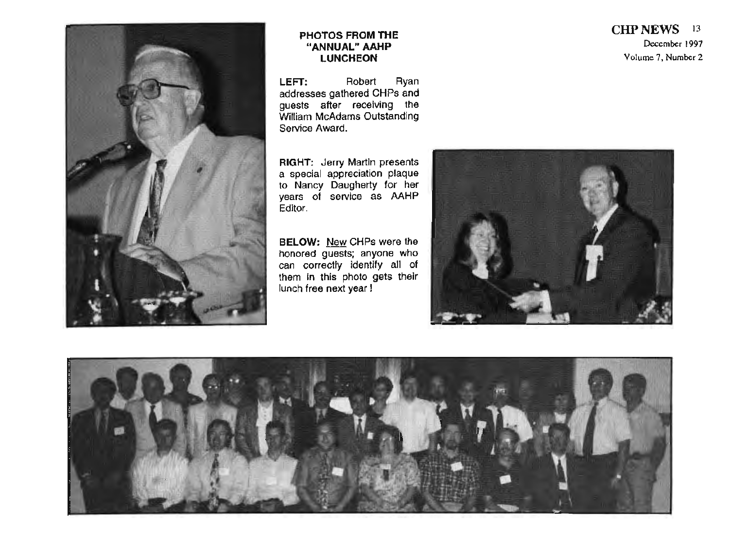

#### **PHOTOS FROM THE "ANNUAL" AAHP LUNCHEON**

LEFT: Robert Ryan addresses gathered CHPs and guests after rece iving the William McAdams Outstand ing Service Award.

**RIGHT:** Jerry Martin presents a special appreciation plaque to Nancy Daugherty for her years of service as AAHP Editor.

**BELOW: New** CHPs were the honored guests; anyone who can correctly identify all of them In this photo gets their lunch free next year I





### **CHPNEWS** <sup>13</sup> December 1997 Volume 7, Number 2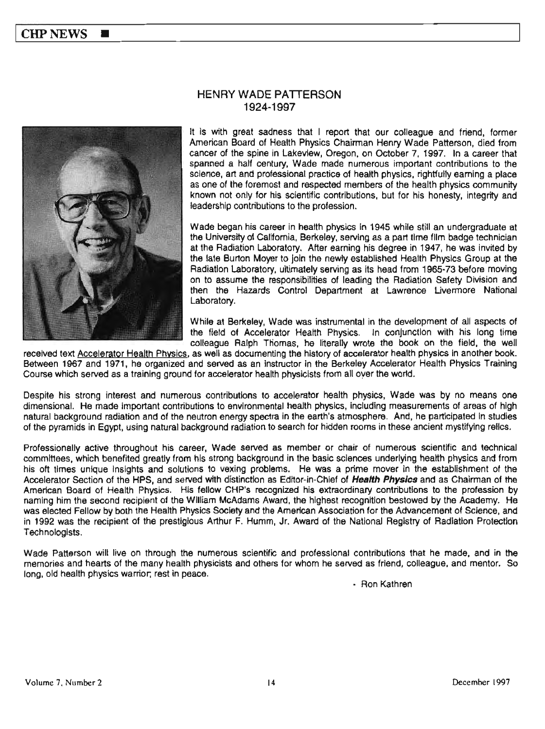

### HENRY WADE PATTERSON 1924-1997

It Is with great sadness that I report that our colleague and friend, former American Board of Health Physics Chairman Henry Wade Patterson, died from cancer of the spine in Lakeview, Oregon, on October 7, 1997. In a career that spanned a half century, Wade made numerous important contributions to the science, art and professional practice of health physics, rightfully earning a place as one of the foremost and respected members of the health physics community known not only for his scientific contributlons, but for his honesty, integrity and leadership contributions to the profession.

Wade began his career in health physics in 1945 while still an undergraduate at the University of California, Berkeley, serving as a part time film badge technician at the Radiation Laboratory. After earning his degree in 1947, he was invited by the late Burton Moyer to join the newly established Health Physics Group at the Radiation laboratory, ultimately serving as its head from 1965-73 before moving on to assume the responsibilities of leading the Radiation Safety Division and then the Hazards Control Department at Lawrence Livermore National Laboratory.

While at Berkeley, Wade was instrumental in the development of all aspects of the field of Accelerator Health Physics. In conjunction with his long time colleague Ralph Thomas, he literally wrote the book on the field, the well

received text Accelerator Health Physics, as well as documenting the history of accelerator health physics in another book. Between 1967 and 1971, he organized and served as an instructor in the Berkeley Accelerator Health Physics Training Course which served as a training ground for accelerator health physicists from all over the world.

Despite his strong interest and numerous contributions to accelerator health physics, Wade was by no means one dimensional. He made Important contributions to environmental health physics, Including measurements of areas of high natural background radiation and of the neutron energy spectra in the earth's atmosphere. And, he participated In studies of the pyramids in Egypt, using natural background radiation to search for hidden rooms in these ancient mystifying rellcs.

Professionally active throughout his career, Wade served as member or chair of numerous scientific and technical committees, which benefited greatly from his strong background in the basic sciences underlying health physics and from his oft times unique insights and solutions to vexing problems. He was a prime mover in the establishment of the Accelerator Section of the HPS, and served with dfstinctlon as Editor-in-Chief of **Health Physics** and as Chairman of the American Board of Health Physics. His fellow CHP's recognized his extraordinary contributions to the profession by naming him the second recipient of the William McAdams Award, the highest recognition bestowed by the Academy. He was elected Fellow by both the Health Physics Society and the American Association for the Advancement of Science, and in 1992 was the recipient of the prestigious Arthur F. Humm, Jr. Award of the National Registry of Radiation Protection Technologists.

Wade Patterson will live on through the numerous scientific and professional contributions that he made, and in the memories and hearts of the many health physicists and others for whom he served as friend, colleague, and mentor. So long, old health physics warrior; rest in peace.

- Ron Kathren